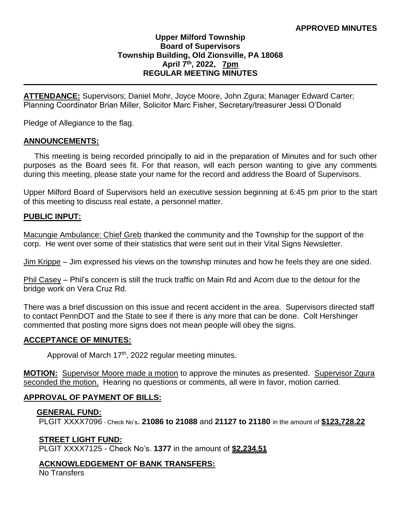## **Upper Milford Township Board of Supervisors Township Building, Old Zionsville, PA 18068 April 7 th, 2022, 7pm REGULAR MEETING MINUTES**

**ATTENDANCE:** Supervisors; Daniel Mohr, Joyce Moore, John Zgura; Manager Edward Carter; Planning Coordinator Brian Miller, Solicitor Marc Fisher, Secretary/treasurer Jessi O'Donald

Pledge of Allegiance to the flag.

#### **ANNOUNCEMENTS:**

 This meeting is being recorded principally to aid in the preparation of Minutes and for such other purposes as the Board sees fit. For that reason, will each person wanting to give any comments during this meeting, please state your name for the record and address the Board of Supervisors.

Upper Milford Board of Supervisors held an executive session beginning at 6:45 pm prior to the start of this meeting to discuss real estate, a personnel matter.

### **PUBLIC INPUT:**

Macungie Ambulance: Chief Greb thanked the community and the Township for the support of the corp. He went over some of their statistics that were sent out in their Vital Signs Newsletter.

Jim Krippe – Jim expressed his views on the township minutes and how he feels they are one sided.

Phil Casey – Phil's concern is still the truck traffic on Main Rd and Acorn due to the detour for the bridge work on Vera Cruz Rd.

There was a brief discussion on this issue and recent accident in the area. Supervisors directed staff to contact PennDOT and the State to see if there is any more that can be done. Colt Hershinger commented that posting more signs does not mean people will obey the signs.

### **ACCEPTANCE OF MINUTES:**

Approval of March 17<sup>th</sup>, 2022 regular meeting minutes.

**MOTION:** Supervisor Moore made a motion to approve the minutes as presented. Supervisor Zgura seconded the motion. Hearing no questions or comments, all were in favor, motion carried.

### **APPROVAL OF PAYMENT OF BILLS:**

### **GENERAL FUND:**

PLGIT XXXX7096 - Check No's. **21086 to 21088** and **21127 to 21180** in the amount of **\$123,728.22**

### **STREET LIGHT FUND:**

PLGIT XXXX7125 - Check No's. **1377** in the amount of **\$2,234.51**

### **ACKNOWLEDGEMENT OF BANK TRANSFERS:**

No Transfers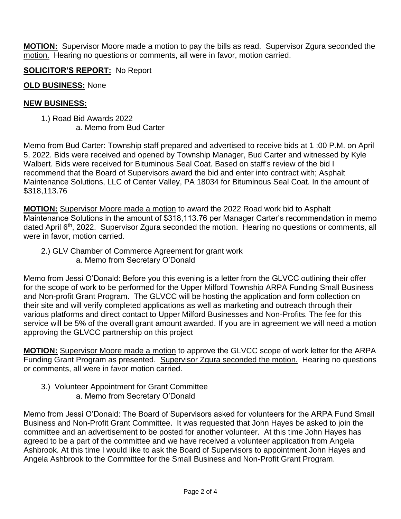**MOTION:** Supervisor Moore made a motion to pay the bills as read. Supervisor Zgura seconded the motion. Hearing no questions or comments, all were in favor, motion carried.

**SOLICITOR'S REPORT:** No Report

## **OLD BUSINESS:** None

## **NEW BUSINESS:**

 1.) Road Bid Awards 2022 a. Memo from Bud Carter

Memo from Bud Carter: Township staff prepared and advertised to receive bids at 1 :00 P.M. on April 5, 2022. Bids were received and opened by Township Manager, Bud Carter and witnessed by Kyle Walbert. Bids were received for Bituminous Seal Coat. Based on staff's review of the bid I recommend that the Board of Supervisors award the bid and enter into contract with; Asphalt Maintenance Solutions, LLC of Center Valley, PA 18034 for Bituminous Seal Coat. In the amount of \$318,113.76

**MOTION:** Supervisor Moore made a motion to award the 2022 Road work bid to Asphalt Maintenance Solutions in the amount of \$318,113.76 per Manager Carter's recommendation in memo dated April 6<sup>th</sup>, 2022. Supervisor Zgura seconded the motion. Hearing no questions or comments, all were in favor, motion carried.

 2.) GLV Chamber of Commerce Agreement for grant work a. Memo from Secretary O'Donald

Memo from Jessi O'Donald: Before you this evening is a letter from the GLVCC outlining their offer for the scope of work to be performed for the Upper Milford Township ARPA Funding Small Business and Non-profit Grant Program. The GLVCC will be hosting the application and form collection on their site and will verify completed applications as well as marketing and outreach through their various platforms and direct contact to Upper Milford Businesses and Non-Profits. The fee for this service will be 5% of the overall grant amount awarded. If you are in agreement we will need a motion approving the GLVCC partnership on this project

**MOTION:** Supervisor Moore made a motion to approve the GLVCC scope of work letter for the ARPA Funding Grant Program as presented. Supervisor Zgura seconded the motion. Hearing no questions or comments, all were in favor motion carried.

 3.) Volunteer Appointment for Grant Committee a. Memo from Secretary O'Donald

Memo from Jessi O'Donald: The Board of Supervisors asked for volunteers for the ARPA Fund Small Business and Non-Profit Grant Committee. It was requested that John Hayes be asked to join the committee and an advertisement to be posted for another volunteer. At this time John Hayes has agreed to be a part of the committee and we have received a volunteer application from Angela Ashbrook. At this time I would like to ask the Board of Supervisors to appointment John Hayes and Angela Ashbrook to the Committee for the Small Business and Non-Profit Grant Program.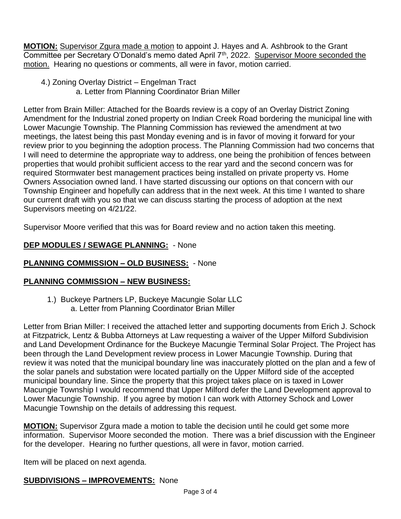**MOTION:** Supervisor Zgura made a motion to appoint J. Hayes and A. Ashbrook to the Grant Committee per Secretary O'Donald's memo dated April 7<sup>th</sup>, 2022. Supervisor Moore seconded the motion. Hearing no questions or comments, all were in favor, motion carried.

- 4.) Zoning Overlay District Engelman Tract
	- a. Letter from Planning Coordinator Brian Miller

Letter from Brain Miller: Attached for the Boards review is a copy of an Overlay District Zoning Amendment for the Industrial zoned property on Indian Creek Road bordering the municipal line with Lower Macungie Township. The Planning Commission has reviewed the amendment at two meetings, the latest being this past Monday evening and is in favor of moving it forward for your review prior to you beginning the adoption process. The Planning Commission had two concerns that I will need to determine the appropriate way to address, one being the prohibition of fences between properties that would prohibit sufficient access to the rear yard and the second concern was for required Stormwater best management practices being installed on private property vs. Home Owners Association owned land. I have started discussing our options on that concern with our Township Engineer and hopefully can address that in the next week. At this time I wanted to share our current draft with you so that we can discuss starting the process of adoption at the next Supervisors meeting on 4/21/22.

Supervisor Moore verified that this was for Board review and no action taken this meeting.

# **DEP MODULES / SEWAGE PLANNING:** - None

## **PLANNING COMMISSION – OLD BUSINESS:** - None

## **PLANNING COMMISSION – NEW BUSINESS:**

1.) Buckeye Partners LP, Buckeye Macungie Solar LLC a. Letter from Planning Coordinator Brian Miller

Letter from Brian Miller: I received the attached letter and supporting documents from Erich J. Schock at Fitzpatrick, Lentz & Bubba Attorneys at Law requesting a waiver of the Upper Milford Subdivision and Land Development Ordinance for the Buckeye Macungie Terminal Solar Project. The Project has been through the Land Development review process in Lower Macungie Township. During that review it was noted that the municipal boundary line was inaccurately plotted on the plan and a few of the solar panels and substation were located partially on the Upper Milford side of the accepted municipal boundary line. Since the property that this project takes place on is taxed in Lower Macungie Township I would recommend that Upper Milford defer the Land Development approval to Lower Macungie Township. If you agree by motion I can work with Attorney Schock and Lower Macungie Township on the details of addressing this request.

**MOTION:** Supervisor Zgura made a motion to table the decision until he could get some more information. Supervisor Moore seconded the motion. There was a brief discussion with the Engineer for the developer. Hearing no further questions, all were in favor, motion carried.

Item will be placed on next agenda.

## **SUBDIVISIONS – IMPROVEMENTS:** None